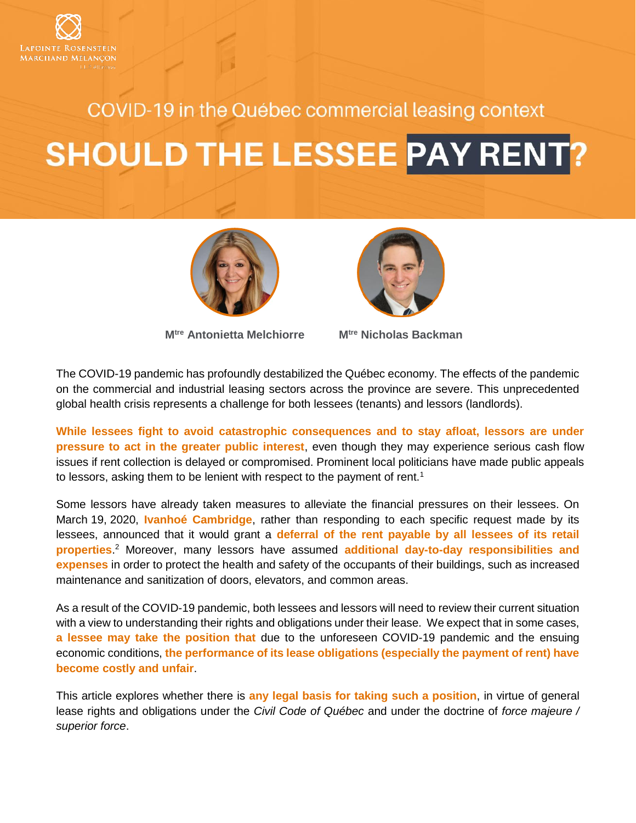

## COVID-19 in the Québec commercial leasing context

# **SHOULD THE LESSEE PAY RENT?**



**Mtre [Antonietta Melchiorre](http://www.lrmm.com/en-CA/team/attorneys/lawyer-melchiorre-antonietta) Mtre [Nicholas Backman](http://www.lrmm.com/en-CA/team/attorneys/lawyer-backman-nicholas)**



The COVID-19 pandemic has profoundly destabilized the Québec economy. The effects of the pandemic on the commercial and industrial leasing sectors across the province are severe. This unprecedented global health crisis represents a challenge for both lessees (tenants) and lessors (landlords).

**While lessees fight to avoid catastrophic consequences and to stay afloat, lessors are under pressure to act in the greater public interest**, even though they may experience serious cash flow issues if rent collection is delayed or compromised. Prominent local politicians have made public appeals to lessors, asking them to be lenient with respect to the payment of rent.<sup>1</sup>

Some lessors have already taken measures to alleviate the financial pressures on their lessees. On March 19, 2020, **Ivanhoé Cambridge**, rather than responding to each specific request made by its lessees, announced that it would grant a **deferral of the rent payable by all lessees of its retail properties**. <sup>2</sup> Moreover, many lessors have assumed **additional day-to-day responsibilities and expenses** in order to protect the health and safety of the occupants of their buildings, such as increased maintenance and sanitization of doors, elevators, and common areas.

As a result of the COVID-19 pandemic, both lessees and lessors will need to review their current situation with a view to understanding their rights and obligations under their lease. We expect that in some cases, **a lessee may take the position that** due to the unforeseen COVID-19 pandemic and the ensuing economic conditions, **the performance of its lease obligations (especially the payment of rent) have become costly and unfair**.

This article explores whether there is **any legal basis for taking such a position**, in virtue of general lease rights and obligations under the *Civil Code of Québec* and under the doctrine of *force majeure / superior force*.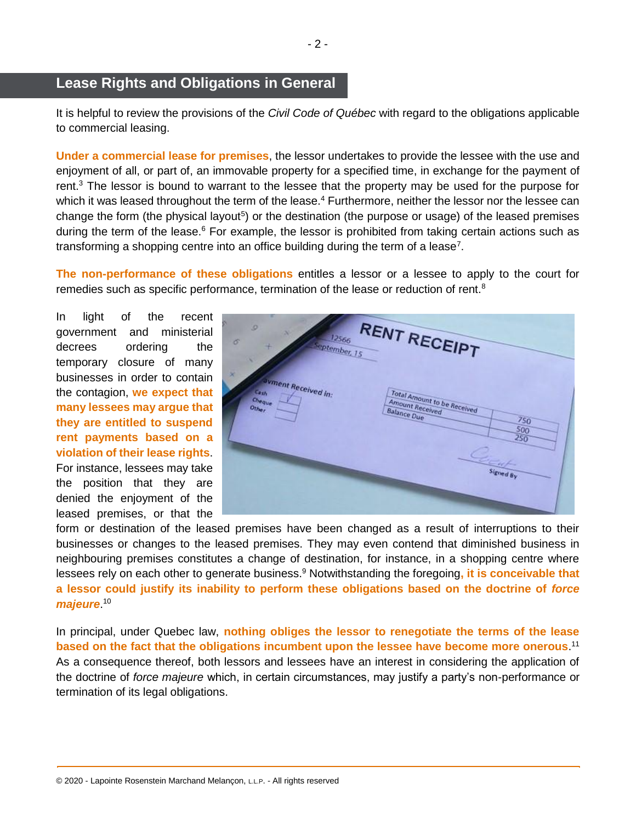### **Lease Rights and Obligations in General**

It is helpful to review the provisions of the *Civil Code of Québec* with regard to the obligations applicable to commercial leasing.

**Under a commercial lease for premises**, the lessor undertakes to provide the lessee with the use and enjoyment of all, or part of, an immovable property for a specified time, in exchange for the payment of rent.<sup>3</sup> The lessor is bound to warrant to the lessee that the property may be used for the purpose for which it was leased throughout the term of the lease.<sup>4</sup> Furthermore, neither the lessor nor the lessee can change the form (the physical layout<sup>5</sup>) or the destination (the purpose or usage) of the leased premises during the term of the lease. $6$  For example, the lessor is prohibited from taking certain actions such as transforming a shopping centre into an office building during the term of a lease<sup>7</sup>.

**The non-performance of these obligations** entitles a lessor or a lessee to apply to the court for remedies such as specific performance, termination of the lease or reduction of rent.<sup>8</sup>

In light of the recent government and ministerial decrees ordering the temporary closure of many businesses in order to contain the contagion, **we expect that many lessees may argue that they are entitled to suspend rent payments based on a violation of their lease rights**. For instance, lessees may take the position that they are denied the enjoyment of the leased premises, or that the



form or destination of the leased premises have been changed as a result of interruptions to their businesses or changes to the leased premises. They may even contend that diminished business in neighbouring premises constitutes a change of destination, for instance, in a shopping centre where lessees rely on each other to generate business.<sup>9</sup> Notwithstanding the foregoing**, it is conceivable that a lessor could justify its inability to perform these obligations based on the doctrine of** *force majeure*. 10

In principal, under Quebec law, **nothing obliges the lessor to renegotiate the terms of the lease based on the fact that the obligations incumbent upon the lessee have become more onerous**. 11 As a consequence thereof, both lessors and lessees have an interest in considering the application of the doctrine of *force majeure* which, in certain circumstances, may justify a party's non-performance or termination of its legal obligations.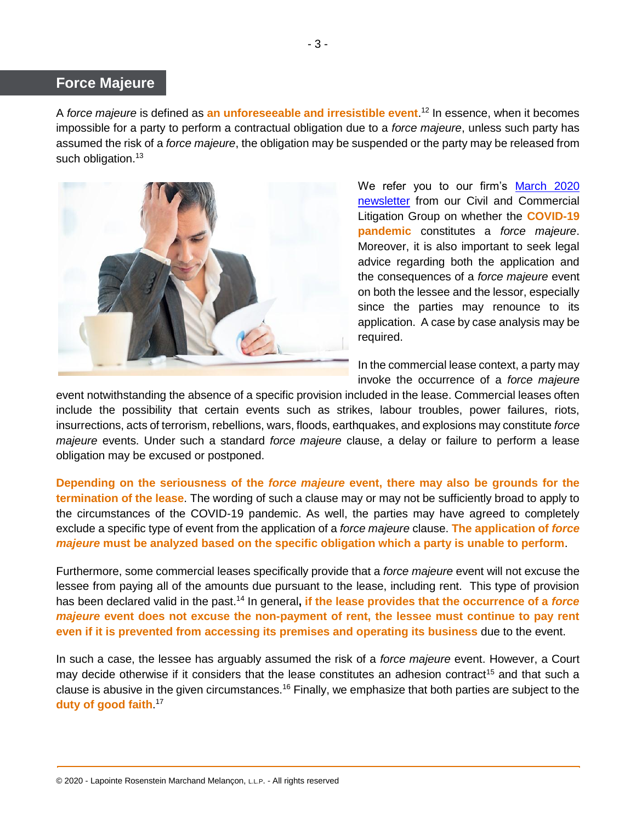#### **Force Majeure**

A *force majeure* is defined as **an unforeseeable and irresistible event**. <sup>12</sup> In essence, when it becomes impossible for a party to perform a contractual obligation due to a *force majeure*, unless such party has assumed the risk of a *force majeure*, the obligation may be suspended or the party may be released from such obligation.<sup>13</sup>



We refer you to our firm's [March 2020](http://admin.lrmm.com/CMS/Media/12293_41_en-CA_0_Litigation_Newsletter_March_2020.pdf)  [newsletter](http://admin.lrmm.com/CMS/Media/12293_41_en-CA_0_Litigation_Newsletter_March_2020.pdf) from our Civil and Commercial Litigation Group on whether the **COVID-19 pandemic** constitutes a *force majeure*. Moreover, it is also important to seek legal advice regarding both the application and the consequences of a *force majeure* event on both the lessee and the lessor, especially since the parties may renounce to its application. A case by case analysis may be required.

In the commercial lease context, a party may invoke the occurrence of a *force majeure*

event notwithstanding the absence of a specific provision included in the lease. Commercial leases often include the possibility that certain events such as strikes, labour troubles, power failures, riots, insurrections, acts of terrorism, rebellions, wars, floods, earthquakes, and explosions may constitute *force majeure* events. Under such a standard *force majeure* clause, a delay or failure to perform a lease obligation may be excused or postponed.

**Depending on the seriousness of the** *force majeure* **event, there may also be grounds for the termination of the lease**. The wording of such a clause may or may not be sufficiently broad to apply to the circumstances of the COVID-19 pandemic. As well, the parties may have agreed to completely exclude a specific type of event from the application of a *force majeure* clause. **The application of** *force majeure* **must be analyzed based on the specific obligation which a party is unable to perform**.

Furthermore, some commercial leases specifically provide that a *force majeure* event will not excuse the lessee from paying all of the amounts due pursuant to the lease, including rent. This type of provision has been declared valid in the past.<sup>14</sup> In general**, if the lease provides that the occurrence of a** *force majeure* **event does not excuse the non-payment of rent, the lessee must continue to pay rent even if it is prevented from accessing its premises and operating its business** due to the event.

In such a case, the lessee has arguably assumed the risk of a *force majeure* event. However, a Court may decide otherwise if it considers that the lease constitutes an adhesion contract<sup>15</sup> and that such a clause is abusive in the given circumstances.<sup>16</sup> Finally, we emphasize that both parties are subject to the **duty of good faith**. 17